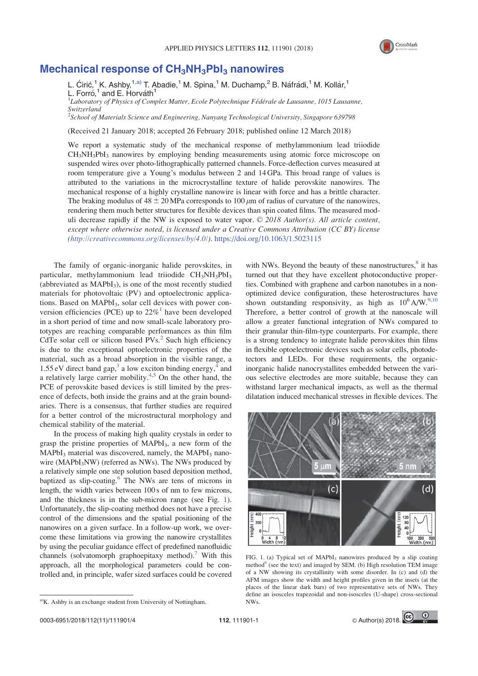

## Mechanical response of  $CH_3NH_3Pbl_3$  nanowires

L. Ćirić,<sup>1</sup> K. Ashby,<sup>1,a)</sup> T. Abadie,<sup>1</sup> M. Spina,<sup>1</sup> M. Duchamp,<sup>2</sup> B. Náfrádi,<sup>1</sup> M. Kollár,<sup>1</sup> L. Forró,<sup>1</sup> and E. Horváth<sup>1</sup> <sup>1</sup>Laboratory of Physics of Complex Matter, Ecole Polytechnique Fédérale de Lausanne, 1015 Lausanne, Switzerland

<sup>2</sup>School of Materials Science and Engineering, Nanyang Technological University, Singapore 639798

(Received 21 January 2018; accepted 26 February 2018; published online 12 March 2018)

We report a systematic study of the mechanical response of methylammonium lead triiodide  $CH<sub>3</sub>NH<sub>3</sub>PbI<sub>3</sub>$  nanowires by employing bending measurements using atomic force microscope on suspended wires over photo-lithographically patterned channels. Force-deflection curves measured at room temperature give a Young's modulus between 2 and 14 GPa. This broad range of values is attributed to the variations in the microcrystalline texture of halide perovskite nanowires. The mechanical response of a highly crystalline nanowire is linear with force and has a brittle character. The braking modulus of  $48 \pm 20$  MPa corresponds to 100  $\mu$ m of radius of curvature of the nanowires, rendering them much better structures for flexible devices than spin coated films. The measured moduli decrease rapidly if the NW is exposed to water vapor.  $\odot$  2018 Author(s). All article content, except where otherwise noted, is licensed under a Creative Commons Attribution (CC BY) license (http://creativecommons.org/licenses/by/4.0/). https://doi.org/10.1063/1.5023115

The family of organic-inorganic halide perovskites, in particular, methylammonium lead triiodide  $CH<sub>3</sub>NH<sub>3</sub>PbI<sub>3</sub>$ (abbreviated as  $MAPbI<sub>3</sub>$ ), is one of the most recently studied materials for photovoltaic (PV) and optoelectronic applications. Based on MAPbI<sub>3</sub>, solar cell devices with power conversion efficiencies (PCE) up to  $22\%$ <sup>1</sup> have been developed in a short period of time and now small-scale laboratory prototypes are reaching comparable performances as thin film CdTe solar cell or silicon based  $PVs<sup>2</sup>$  Such high efficiency is due to the exceptional optoelectronic properties of the material, such as a broad absorption in the visible range, a 1.55 eV direct band gap,<sup>3</sup> a low exciton binding energy,<sup>4</sup> and a relatively large carrier mobility. $4.5$  On the other hand, the PCE of perovskite based devices is still limited by the presence of defects, both inside the grains and at the grain boundaries. There is a consensus, that further studies are required for a better control of the microstructural morphology and chemical stability of the material.

In the process of making high quality crystals in order to grasp the pristine properties of  $MAPbI<sub>3</sub>$ , a new form of the  $MAPbI<sub>3</sub>$  material was discovered, namely, the MAPbI<sub>3</sub> nanowire (MAPbI<sub>3</sub>NW) (referred as NWs). The NWs produced by a relatively simple one step solution based deposition method, baptized as slip-coating.<sup>6</sup> The NWs are tens of microns in length, the width varies between 100 s of nm to few microns, and the thickness is in the sub-micron range (see Fig. 1). Unfortunately, the slip-coating method does not have a precise control of the dimensions and the spatial positioning of the nanowires on a given surface. In a follow-up work, we overcome these limitations via growing the nanowire crystallites by using the peculiar guidance effect of predefined nanofluidic channels (solvatomorph graphoepitaxy method).<sup>7</sup> With this approach, all the morphological parameters could be controlled and, in principle, wafer sized surfaces could be covered

with NWs. Beyond the beauty of these nanostructures, $8$  it has turned out that they have excellent photoconductive properties. Combined with graphene and carbon nanotubes in a nonoptimized device configuration, these heterostructures have shown outstanding responsivity, as high as  $10^6$  A/W.<sup>9,10</sup> Therefore, a better control of growth at the nanoscale will allow a greater functional integration of NWs compared to their granular thin-film-type counterparts. For example, there is a strong tendency to integrate halide perovskites thin films in flexible optoelectronic devices such as solar cells, photodetectors and LEDs. For these requirements, the organicinorganic halide nanocrystallites embedded between the various selective electrodes are more suitable, because they can withstand larger mechanical impacts, as well as the thermal dilatation induced mechanical stresses in flexible devices. The



FIG. 1. (a) Typical set of MAPbI<sub>3</sub> nanowires produced by a slip coating method<sup>6</sup> (see the text) and imaged by SEM. (b) High resolution TEM image of a NW showing its crystallinity with some disorder. In (c) and (d) the AFM images show the width and height profiles given in the insets (at the places of the linear dark bars) of two representative sets of NWs. They define an isosceles trapezoidal and non-isosceles (U-shape) cross-sectional

 $A/K$ . Ashby is an exchange student from University of Nottingham.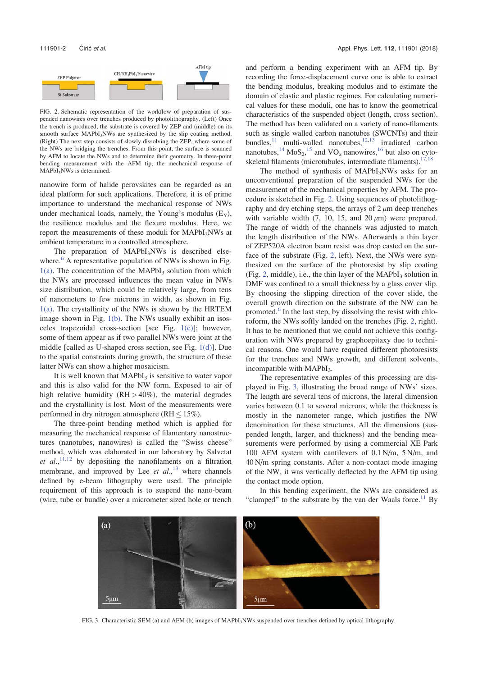

FIG. 2. Schematic representation of the workflow of preparation of suspended nanowires over trenches produced by photolithography. (Left) Once the trench is produced, the substrate is covered by ZEP and (middle) on its smooth surface MAPbI<sub>3</sub>NWs are synthesized by the slip coating method. (Right) The next step consists of slowly dissolving the ZEP, where some of the NWs are bridging the trenches. From this point, the surface is scanned by AFM to locate the NWs and to determine their geometry. In three-point bending measurement with the AFM tip, the mechanical response of MAPbI<sub>3</sub>NWs is determined.

nanowire form of halide perovskites can be regarded as an ideal platform for such applications. Therefore, it is of prime importance to understand the mechanical response of NWs under mechanical loads, namely, the Young's modulus  $(E_Y)$ , the resilience modulus and the flexure modulus. Here, we report the measurements of these moduli for MAPbI<sub>3</sub>NWs at ambient temperature in a controlled atmosphere.

The preparation of MAPbI<sub>3</sub>NWs is described elsewhere. $6$  A representative population of NWs is shown in Fig.  $1(a)$ . The concentration of the MAPbI<sub>3</sub> solution from which the NWs are processed influences the mean value in NWs size distribution, which could be relatively large, from tens of nanometers to few microns in width, as shown in Fig.  $1(a)$ . The crystallinity of the NWs is shown by the HRTEM image shown in Fig. 1(b). The NWs usually exhibit an isosceles trapezoidal cross-section [see Fig. 1(c)]; however, some of them appear as if two parallel NWs were joint at the middle [called as U-shaped cross section, see Fig. 1(d)]. Due to the spatial constraints during growth, the structure of these latter NWs can show a higher mosaicism.

It is well known that  $MAPbI<sub>3</sub>$  is sensitive to water vapor and this is also valid for the NW form. Exposed to air of high relative humidity  $(RH > 40\%)$ , the material degrades and the crystallinity is lost. Most of the measurements were performed in dry nitrogen atmosphere  $(RH \le 15\%)$ .

The three-point bending method which is applied for measuring the mechanical response of filamentary nanostructures (nanotubes, nanowires) is called the "Swiss cheese" method, which was elaborated in our laboratory by Salvetat et  $al$ ,  $11,12$  by depositing the nanofilaments on a filtration membrane, and improved by Lee et  $al$ <sup>13</sup>, where channels defined by e-beam lithography were used. The principle requirement of this approach is to suspend the nano-beam (wire, tube or bundle) over a micrometer sized hole or trench and perform a bending experiment with an AFM tip. By recording the force-displacement curve one is able to extract the bending modulus, breaking modulus and to estimate the domain of elastic and plastic regimes. For calculating numerical values for these moduli, one has to know the geometrical characteristics of the suspended object (length, cross section). The method has been validated on a variety of nano-filaments such as single walled carbon nanotubes (SWCNTs) and their bundles, $11$  multi-walled nanotubes, $12,13$  irradiated carbon nanotubes,  $^{14}$  MoS<sub>2</sub>,  $^{15}$  and VO<sub>x</sub> nanowires,  $^{16}$  but also on cytoskeletal filaments (microtubules, intermediate filaments). $17,18$ 

The method of synthesis of MAPbI<sub>3</sub>NWs asks for an unconventional preparation of the suspended NWs for the measurement of the mechanical properties by AFM. The procedure is sketched in Fig. 2. Using sequences of photolithography and dry etching steps, the arrays of  $2 \mu m$  deep trenches with variable width  $(7, 10, 15,$  and  $20 \,\mu m$ ) were prepared. The range of width of the channels was adjusted to match the length distribution of the NWs. Afterwards a thin layer of ZEP520A electron beam resist was drop casted on the surface of the substrate (Fig. 2, left). Next, the NWs were synthesized on the surface of the photoresist by slip coating (Fig. 2, middle), i.e., the thin layer of the  $MAPbI<sub>3</sub>$  solution in DMF was confined to a small thickness by a glass cover slip. By choosing the slipping direction of the cover slide, the overall growth direction on the substrate of the NW can be promoted.<sup>6</sup> In the last step, by dissolving the resist with chloroform, the NWs softly landed on the trenches (Fig. 2, right). It has to be mentioned that we could not achieve this configuration with NWs prepared by graphoepitaxy due to technical reasons. One would have required different photoresists for the trenches and NWs growth, and different solvents, incompatible with MAPbI<sub>3</sub>.

The representative examples of this processing are displayed in Fig. 3, illustrating the broad range of NWs' sizes. The length are several tens of microns, the lateral dimension varies between 0.1 to several microns, while the thickness is mostly in the nanometer range, which justifies the NW denomination for these structures. All the dimensions (suspended length, larger, and thickness) and the bending measurements were performed by using a commercial XE Park 100 AFM system with cantilevers of 0.1 N/m, 5 N/m, and 40 N/m spring constants. After a non-contact mode imaging of the NW, it was vertically deflected by the AFM tip using the contact mode option.

In this bending experiment, the NWs are considered as "clamped" to the substrate by the van der Waals force.<sup>11</sup> By



FIG. 3. Characteristic SEM (a) and AFM (b) images of MAPbI<sub>3</sub>NWs suspended over trenches defined by optical lithography.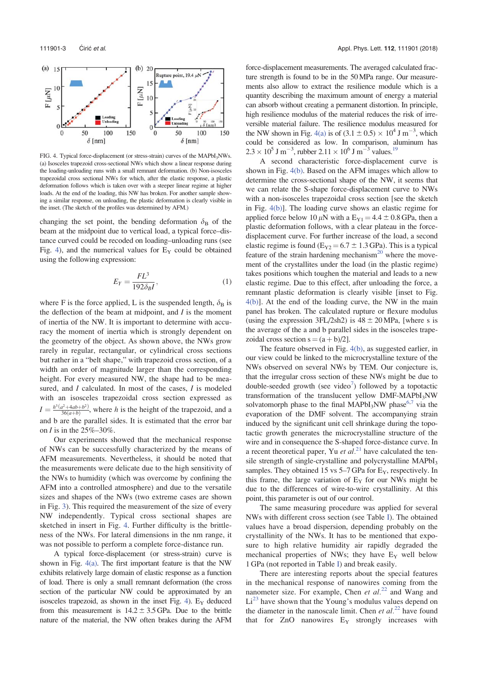

FIG. 4. Typical force-displacement (or stress-strain) curves of the MAPbI<sub>3</sub>NWs. (a) Isosceles trapezoid cross-sectional NWs which show a linear response during the loading-unloading runs with a small remnant deformation. (b) Non-isosceles trapezoidal cross sectional NWs for which, after the elastic response, a plastic deformation follows which is taken over with a steeper linear regime at higher loads. At the end of the loading, this NW has broken. For another sample showing a similar response, on unloading, the plastic deformation is clearly visible in the inset. (The sketch of the profiles was determined by AFM.)

changing the set point, the bending deformation  $\delta_{\rm B}$  of the beam at the midpoint due to vertical load, a typical force–distance curved could be recoded on loading–unloading runs (see Fig. 4), and the numerical values for  $E_Y$  could be obtained using the following expression:

$$
E_Y = \frac{FL^3}{192\delta_B I},\tag{1}
$$

where F is the force applied, L is the suspended length,  $\delta_{\rm B}$  is the deflection of the beam at midpoint, and  $I$  is the moment of inertia of the NW. It is important to determine with accuracy the moment of inertia which is strongly dependent on the geometry of the object. As shown above, the NWs grow rarely in regular, rectangular, or cylindrical cross sections but rather in a "belt shape," with trapezoid cross section, of a width an order of magnitude larger than the corresponding height. For every measured NW, the shape had to be measured, and *I* calculated. In most of the cases, *I* is modeled with an isosceles trapezoidal cross section expressed as  $I = \frac{h^3(a^2 + 4ab + b^2)}{36(a+b)}$ , where h is the height of the trapezoid, and a and b are the parallel sides. It is estimated that the error bar on *I* is in the  $25\% - 30\%$ .

Our experiments showed that the mechanical response of NWs can be successfully characterized by the means of AFM measurements. Nevertheless, it should be noted that the measurements were delicate due to the high sensitivity of the NWs to humidity (which was overcome by confining the AFM into a controlled atmosphere) and due to the versatile sizes and shapes of the NWs (two extreme cases are shown in Fig. 3). This required the measurement of the size of every NW independently. Typical cross sectional shapes are sketched in insert in Fig. 4. Further difficulty is the brittleness of the NWs. For lateral dimensions in the nm range, it was not possible to perform a complete force-distance run.

A typical force-displacement (or stress-strain) curve is shown in Fig. 4(a). The first important feature is that the NW exhibits relatively large domain of elastic response as a function of load. There is only a small remnant deformation (the cross section of the particular NW could be approximated by an isosceles trapezoid, as shown in the inset Fig. 4).  $E_Y$  deduced from this measurement is  $14.2 \pm 3.5$  GPa. Due to the brittle nature of the material, the NW often brakes during the AFM

force-displacement measurements. The averaged calculated fracture strength is found to be in the 50MPa range. Our measurements also allow to extract the resilience module which is a quantity describing the maximum amount of energy a material can absorb without creating a permanent distortion. In principle, high resilience modulus of the material reduces the risk of irreversible material failure. The resilience modulus measured for the NW shown in Fig. 4(a) is of  $(3.1 \pm 0.5) \times 10^4$  J m<sup>-3</sup>, which could be considered as low. In comparison, aluminum has  $2.3 \times 10^5$  J m<sup>-3</sup>, rubber  $2.11 \times 10^6$  J m<sup>-3</sup> values.<sup>19</sup>

A second characteristic force-displacement curve is shown in Fig. 4(b). Based on the AFM images which allow to determine the cross-sectional shape of the NW, it seems that we can relate the S-shape force-displacement curve to NWs with a non-isosceles trapezoidal cross section [see the sketch in Fig. 4(b)]. The loading curve shows an elastic regime for applied force below 10  $\mu$ N with a E<sub>Y1</sub> = 4.4  $\pm$  0.8 GPa, then a plastic deformation follows, with a clear plateau in the forcedisplacement curve. For further increase of the load, a second elastic regime is found ( $E_{Y2} = 6.7 \pm 1.3$  GPa). This is a typical feature of the strain hardening mechanism<sup>20</sup> where the movement of the crystallites under the load (in the plastic regime) takes positions which toughen the material and leads to a new elastic regime. Due to this effect, after unloading the force, a remnant plastic deformation is clearly visible [inset to Fig. 4(b)]. At the end of the loading curve, the NW in the main panel has broken. The calculated rupture or flexure modulus (using the expression  $3FL/2sh2$ ) is  $48 \pm 20$  MPa, [where s is the average of the a and b parallel sides in the isosceles trapezoidal cross section  $s = (a + b)/2$ ].

The feature observed in Fig. 4(b), as suggested earlier, in our view could be linked to the microcrystalline texture of the NWs observed on several NWs by TEM. Our conjecture is, that the irregular cross section of these NWs might be due to double-seeded growth (see video<sup>7</sup>) followed by a topotactic transformation of the translucent yellow DMF-MAPbI<sub>3</sub>NW solvatomorph phase to the final MAPbI<sub>3</sub>NW phase<sup>6,7</sup> via the evaporation of the DMF solvent. The accompanying strain induced by the significant unit cell shrinkage during the topotactic growth generates the microcrystalline structure of the wire and in consequence the S-shaped force-distance curve. In a recent theoretical paper, Yu et  $al^{21}$  have calculated the tensile strength of single-crystalline and polycrystalline MAPbI<sub>3</sub> samples. They obtained 15 vs  $5-7$  GPa for  $E_y$ , respectively. In this frame, the large variation of  $E<sub>y</sub>$  for our NWs might be due to the differences of wire-to-wire crystallinity. At this point, this parameter is out of our control.

The same measuring procedure was applied for several NWs with different cross section (see Table I). The obtained values have a broad dispersion, depending probably on the crystallinity of the NWs. It has to be mentioned that exposure to high relative humidity air rapidly degraded the mechanical properties of NWs; they have  $E_Y$  well below 1 GPa (not reported in Table I) and break easily.

There are interesting reports about the special features in the mechanical response of nanowires coming from the nanometer size. For example, Chen *et al.*<sup>22</sup> and Wang and  $Li<sup>23</sup>$  have shown that the Young's modulus values depend on the diameter in the nanoscale limit. Chen *et al.*<sup>22</sup> have found that for  $ZnO$  nanowires  $E<sub>Y</sub>$  strongly increases with